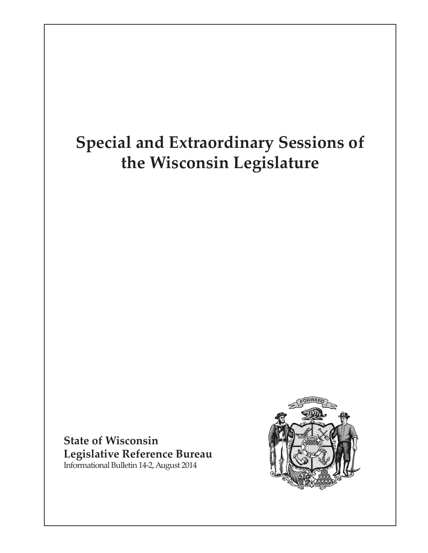# **Special and Extraordinary Sessions of the Wisconsin Legislature**

**State of Wisconsin Legislative Reference Bureau** Informational Bulletin 14-2, August 2014

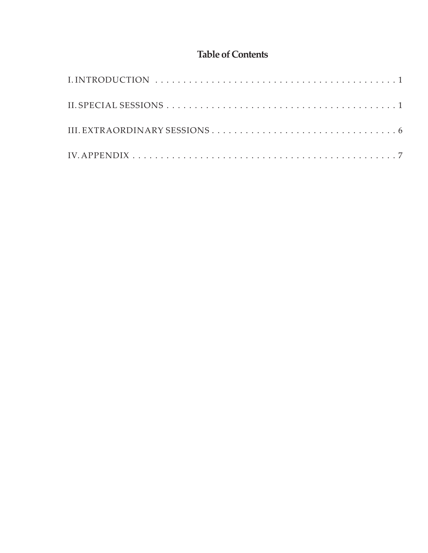# **Table of Contents**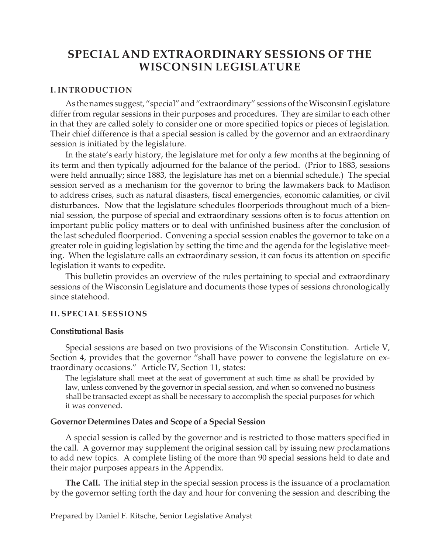# **SPECIAL AND EXTRAORDINARY SESSIONS OF THE WISCONSIN LEGISLATURE**

### **I. INTRODUCTION**

As the names suggest, "special" and "extraordinary" sessions of the Wisconsin Legislature differ from regular sessions in their purposes and procedures. They are similar to each other in that they are called solely to consider one or more specified topics or pieces of legislation. Their chief difference is that a special session is called by the governor and an extraordinary session is initiated by the legislature.

In the state's early history, the legislature met for only a few months at the beginning of its term and then typically adjourned for the balance of the period. (Prior to 1883, sessions were held annually; since 1883, the legislature has met on a biennial schedule.) The special session served as a mechanism for the governor to bring the lawmakers back to Madison to address crises, such as natural disasters, fiscal emergencies, economic calamities, or civil disturbances. Now that the legislature schedules floorperiods throughout much of a biennial session, the purpose of special and extraordinary sessions often is to focus attention on important public policy matters or to deal with unfinished business after the conclusion of the last scheduled floorperiod. Convening a special session enables the governor to take on a greater role in guiding legislation by setting the time and the agenda for the legislative meeting. When the legislature calls an extraordinary session, it can focus its attention on specific legislation it wants to expedite.

This bulletin provides an overview of the rules pertaining to special and extraordinary sessions of the Wisconsin Legislature and documents those types of sessions chronologically since statehood.

#### **II. SPECIAL SESSIONS**

#### **Constitutional Basis**

Special sessions are based on two provisions of the Wisconsin Constitution. Article V, Section 4, provides that the governor "shall have power to convene the legislature on extraordinary occasions." Article IV, Section 11, states:

The legislature shall meet at the seat of government at such time as shall be provided by law, unless convened by the governor in special session, and when so convened no business shall be transacted except as shall be necessary to accomplish the special purposes for which it was convened.

#### **Governor Determines Dates and Scope of a Special Session**

A special session is called by the governor and is restricted to those matters specified in the call. A governor may supplement the original session call by issuing new proclamations to add new topics. A complete listing of the more than 90 special sessions held to date and their major purposes appears in the Appendix.

**The Call.** The initial step in the special session process is the issuance of a proclamation by the governor setting forth the day and hour for convening the session and describing the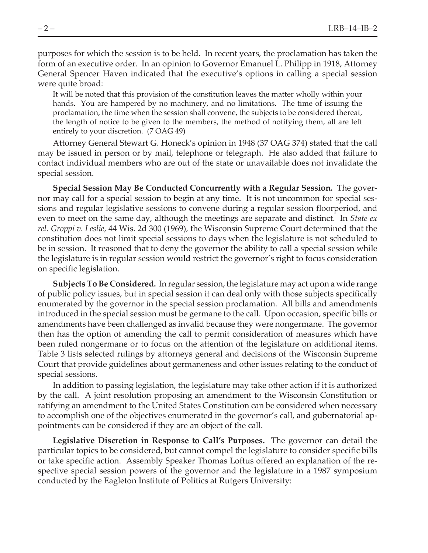purposes for which the session is to be held. In recent years, the proclamation has taken the form of an executive order. In an opinion to Governor Emanuel L. Philipp in 1918, Attorney General Spencer Haven indicated that the executive's options in calling a special session were quite broad:

It will be noted that this provision of the constitution leaves the matter wholly within your hands. You are hampered by no machinery, and no limitations. The time of issuing the proclamation, the time when the session shall convene, the subjects to be considered thereat, the length of notice to be given to the members, the method of notifying them, all are left entirely to your discretion. (7 OAG 49)

Attorney General Stewart G. Honeck's opinion in 1948 (37 OAG 374) stated that the call may be issued in person or by mail, telephone or telegraph. He also added that failure to contact individual members who are out of the state or unavailable does not invalidate the special session.

**Special Session May Be Conducted Concurrently with a Regular Session.** The governor may call for a special session to begin at any time. It is not uncommon for special sessions and regular legislative sessions to convene during a regular session floorperiod, and even to meet on the same day, although the meetings are separate and distinct. In *State ex rel. Groppi v. Leslie*, 44 Wis. 2d 300 (1969), the Wisconsin Supreme Court determined that the constitution does not limit special sessions to days when the legislature is not scheduled to be in session. It reasoned that to deny the governor the ability to call a special session while the legislature is in regular session would restrict the governor's right to focus consideration on specific legislation.

**Subjects To Be Considered.** In regular session, the legislature may act upon a wide range of public policy issues, but in special session it can deal only with those subjects specifically enumerated by the governor in the special session proclamation. All bills and amendments introduced in the special session must be germane to the call. Upon occasion, specific bills or amendments have been challenged as invalid because they were nongermane. The governor then has the option of amending the call to permit consideration of measures which have been ruled nongermane or to focus on the attention of the legislature on additional items. Table 3 lists selected rulings by attorneys general and decisions of the Wisconsin Supreme Court that provide guidelines about germaneness and other issues relating to the conduct of special sessions.

In addition to passing legislation, the legislature may take other action if it is authorized by the call. A joint resolution proposing an amendment to the Wisconsin Constitution or ratifying an amendment to the United States Constitution can be considered when necessary to accomplish one of the objectives enumerated in the governor's call, and gubernatorial appointments can be considered if they are an object of the call.

**Legislative Discretion in Response to Call's Purposes.** The governor can detail the particular topics to be considered, but cannot compel the legislature to consider specific bills or take specific action. Assembly Speaker Thomas Loftus offered an explanation of the respective special session powers of the governor and the legislature in a 1987 symposium conducted by the Eagleton Institute of Politics at Rutgers University: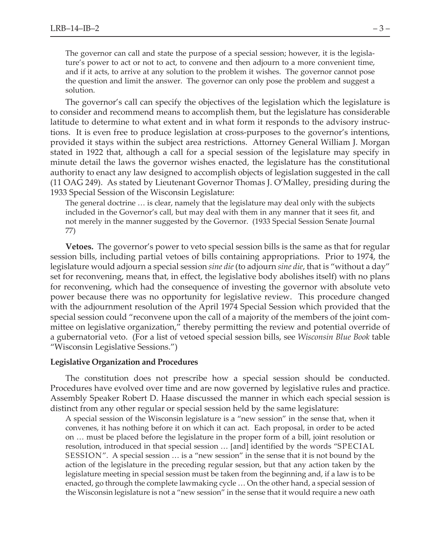The governor can call and state the purpose of a special session; however, it is the legislature's power to act or not to act, to convene and then adjourn to a more convenient time, and if it acts, to arrive at any solution to the problem it wishes. The governor cannot pose the question and limit the answer. The governor can only pose the problem and suggest a solution.

The governor's call can specify the objectives of the legislation which the legislature is to consider and recommend means to accomplish them, but the legislature has considerable latitude to determine to what extent and in what form it responds to the advisory instructions. It is even free to produce legislation at cross-purposes to the governor's intentions, provided it stays within the subject area restrictions. Attorney General William J. Morgan stated in 1922 that, although a call for a special session of the legislature may specify in minute detail the laws the governor wishes enacted, the legislature has the constitutional authority to enact any law designed to accomplish objects of legislation suggested in the call (11 OAG 249). As stated by Lieutenant Governor Thomas J. O'Malley, presiding during the 1933 Special Session of the Wisconsin Legislature:

The general doctrine … is clear, namely that the legislature may deal only with the subjects included in the Governor's call, but may deal with them in any manner that it sees fit, and not merely in the manner suggested by the Governor. (1933 Special Session Senate Journal 77)

**Vetoes.** The governor's power to veto special session bills is the same as that for regular session bills, including partial vetoes of bills containing appropriations. Prior to 1974, the legislature would adjourn a special session *sine die* (to adjourn *sine die*, that is "without a day" set for reconvening, means that, in effect, the legislative body abolishes itself) with no plans for reconvening, which had the consequence of investing the governor with absolute veto power because there was no opportunity for legislative review. This procedure changed with the adjournment resolution of the April 1974 Special Session which provided that the special session could "reconvene upon the call of a majority of the members of the joint committee on legislative organization," thereby permitting the review and potential override of a gubernatorial veto. (For a list of vetoed special session bills, see *Wisconsin Blue Book* table "Wisconsin Legislative Sessions.")

#### **Legislative Organization and Procedures**

The constitution does not prescribe how a special session should be conducted. Procedures have evolved over time and are now governed by legislative rules and practice. Assembly Speaker Robert D. Haase discussed the manner in which each special session is distinct from any other regular or special session held by the same legislature:

A special session of the Wisconsin legislature is a "new session" in the sense that, when it convenes, it has nothing before it on which it can act. Each proposal, in order to be acted on … must be placed before the legislature in the proper form of a bill, joint resolution or resolution, introduced in that special session … [and] identified by the words "SPECIAL SESSION". A special session … is a "new session" in the sense that it is not bound by the action of the legislature in the preceding regular session, but that any action taken by the legislature meeting in special session must be taken from the beginning and, if a law is to be enacted, go through the complete lawmaking cycle … On the other hand, a special session of the Wisconsin legislature is not a "new session" in the sense that it would require a new oath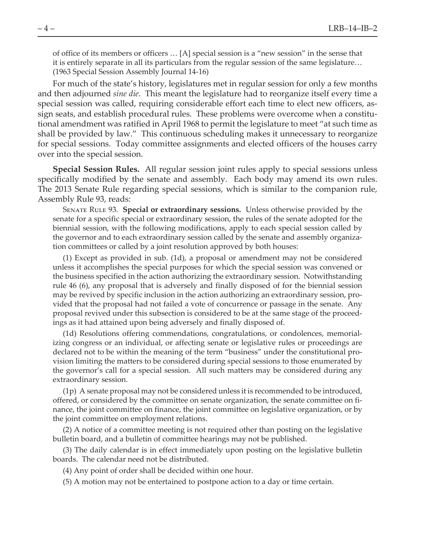of office of its members or officers … [A] special session is a "new session" in the sense that it is entirely separate in all its particulars from the regular session of the same legislature… (1963 Special Session Assembly Journal 14-16)

For much of the state's history, legislatures met in regular session for only a few months and then adjourned *sine die*. This meant the legislature had to reorganize itself every time a special session was called, requiring considerable effort each time to elect new officers, assign seats, and establish procedural rules. These problems were overcome when a constitutional amendment was ratified in April 1968 to permit the legislature to meet "at such time as shall be provided by law." This continuous scheduling makes it unnecessary to reorganize for special sessions. Today committee assignments and elected officers of the houses carry over into the special session.

**Special Session Rules.** All regular session joint rules apply to special sessions unless specifically modified by the senate and assembly. Each body may amend its own rules. The 2013 Senate Rule regarding special sessions, which is similar to the companion rule, Assembly Rule 93, reads:

Senate Rule 93. **Special or extraordinary sessions.** Unless otherwise provided by the senate for a specific special or extraordinary session, the rules of the senate adopted for the biennial session, with the following modifications, apply to each special session called by the governor and to each extraordinary session called by the senate and assembly organization committees or called by a joint resolution approved by both houses:

(1) Except as provided in sub. (1d), a proposal or amendment may not be considered unless it accomplishes the special purposes for which the special session was convened or the business specified in the action authorizing the extraordinary session. Notwithstanding rule 46 (6), any proposal that is adversely and finally disposed of for the biennial session may be revived by specific inclusion in the action authorizing an extraordinary session, provided that the proposal had not failed a vote of concurrence or passage in the senate. Any proposal revived under this subsection is considered to be at the same stage of the proceedings as it had attained upon being adversely and finally disposed of.

(1d) Resolutions offering commendations, congratulations, or condolences, memorializing congress or an individual, or affecting senate or legislative rules or proceedings are declared not to be within the meaning of the term "business" under the constitutional provision limiting the matters to be considered during special sessions to those enumerated by the governor's call for a special session. All such matters may be considered during any extraordinary session.

(1p) A senate proposal may not be considered unless it is recommended to be introduced, offered, or considered by the committee on senate organization, the senate committee on finance, the joint committee on finance, the joint committee on legislative organization, or by the joint committee on employment relations.

(2) A notice of a committee meeting is not required other than posting on the legislative bulletin board, and a bulletin of committee hearings may not be published.

(3) The daily calendar is in effect immediately upon posting on the legislative bulletin boards. The calendar need not be distributed.

(4) Any point of order shall be decided within one hour.

(5) A motion may not be entertained to postpone action to a day or time certain.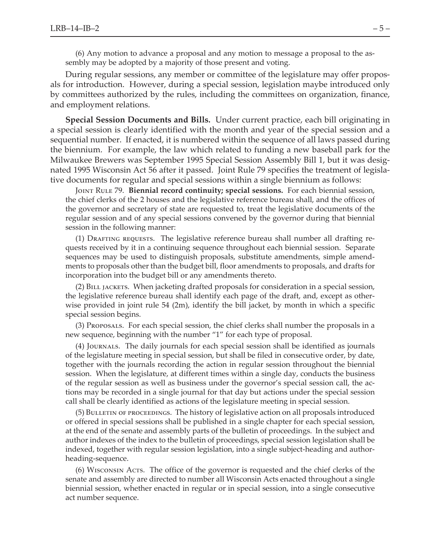(6) Any motion to advance a proposal and any motion to message a proposal to the assembly may be adopted by a majority of those present and voting.

During regular sessions, any member or committee of the legislature may offer proposals for introduction. However, during a special session, legislation maybe introduced only by committees authorized by the rules, including the committees on organization, finance, and employment relations.

**Special Session Documents and Bills.** Under current practice, each bill originating in a special session is clearly identified with the month and year of the special session and a sequential number. If enacted, it is numbered within the sequence of all laws passed during the biennium. For example, the law which related to funding a new baseball park for the Milwaukee Brewers was September 1995 Special Session Assembly Bill 1, but it was designated 1995 Wisconsin Act 56 after it passed. Joint Rule 79 specifies the treatment of legislative documents for regular and special sessions within a single biennium as follows:

Joint Rule 79. **Biennial record continuity; special sessions.** For each biennial session, the chief clerks of the 2 houses and the legislative reference bureau shall, and the offices of the governor and secretary of state are requested to, treat the legislative documents of the regular session and of any special sessions convened by the governor during that biennial session in the following manner:

(1) Drafting requests. The legislative reference bureau shall number all drafting requests received by it in a continuing sequence throughout each biennial session. Separate sequences may be used to distinguish proposals, substitute amendments, simple amendments to proposals other than the budget bill, floor amendments to proposals, and drafts for incorporation into the budget bill or any amendments thereto.

(2) Bill jackets. When jacketing drafted proposals for consideration in a special session, the legislative reference bureau shall identify each page of the draft, and, except as otherwise provided in joint rule 54 (2m), identify the bill jacket, by month in which a specific special session begins.

(3) Proposals. For each special session, the chief clerks shall number the proposals in a new sequence, beginning with the number "1" for each type of proposal.

(4) Journals. The daily journals for each special session shall be identified as journals of the legislature meeting in special session, but shall be filed in consecutive order, by date, together with the journals recording the action in regular session throughout the biennial session. When the legislature, at different times within a single day, conducts the business of the regular session as well as business under the governor's special session call, the actions may be recorded in a single journal for that day but actions under the special session call shall be clearly identified as actions of the legislature meeting in special session.

(5) Bulletin of proceedings. The history of legislative action on all proposals introduced or offered in special sessions shall be published in a single chapter for each special session, at the end of the senate and assembly parts of the bulletin of proceedings. In the subject and author indexes of the index to the bulletin of proceedings, special session legislation shall be indexed, together with regular session legislation, into a single subject-heading and authorheading-sequence.

(6) Wisconsin Acts. The office of the governor is requested and the chief clerks of the senate and assembly are directed to number all Wisconsin Acts enacted throughout a single biennial session, whether enacted in regular or in special session, into a single consecutive act number sequence.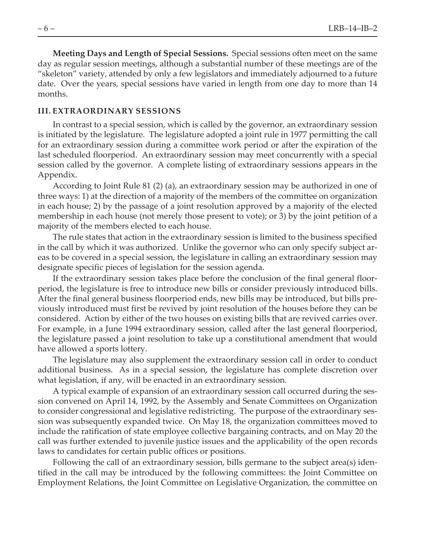**Meeting Days and Length of Special Sessions.** Special sessions often meet on the same day as regular session meetings, although a substantial number of these meetings are of the "skeleton" variety, attended by only a few legislators and immediately adjourned to a future date. Over the years, special sessions have varied in length from one day to more than 14 months.

#### **III. EXTRAORDINARY SESSIONS**

In contrast to a special session, which is called by the governor, an extraordinary session is initiated by the legislature. The legislature adopted a joint rule in 1977 permitting the call for an extraordinary session during a committee work period or after the expiration of the last scheduled floorperiod. An extraordinary session may meet concurrently with a special session called by the governor. A complete listing of extraordinary sessions appears in the Appendix.

According to Joint Rule 81 (2) (a), an extraordinary session may be authorized in one of three ways: 1) at the direction of a majority of the members of the committee on organization in each house; 2) by the passage of a joint resolution approved by a majority of the elected membership in each house (not merely those present to vote); or 3) by the joint petition of a majority of the members elected to each house.

The rule states that action in the extraordinary session is limited to the business specified in the call by which it was authorized. Unlike the governor who can only specify subject areas to be covered in a special session, the legislature in calling an extraordinary session may designate specific pieces of legislation for the session agenda.

If the extraordinary session takes place before the conclusion of the final general floorperiod, the legislature is free to introduce new bills or consider previously introduced bills. After the final general business floorperiod ends, new bills may be introduced, but bills previously introduced must first be revived by joint resolution of the houses before they can be considered. Action by either of the two houses on existing bills that are revived carries over. For example, in a June 1994 extraordinary session, called after the last general floorperiod, the legislature passed a joint resolution to take up a constitutional amendment that would have allowed a sports lottery.

The legislature may also supplement the extraordinary session call in order to conduct additional business. As in a special session, the legislature has complete discretion over what legislation, if any, will be enacted in an extraordinary session.

A typical example of expansion of an extraordinary session call occurred during the session convened on April 14, 1992, by the Assembly and Senate Committees on Organization to consider congressional and legislative redistricting. The purpose of the extraordinary session was subsequently expanded twice. On May 18, the organization committees moved to include the ratification of state employee collective bargaining contracts, and on May 20 the call was further extended to juvenile justice issues and the applicability of the open records laws to candidates for certain public offices or positions.

Following the call of an extraordinary session, bills germane to the subject area(s) identified in the call may be introduced by the following committees: the Joint Committee on Employment Relations, the Joint Committee on Legislative Organization, the committee on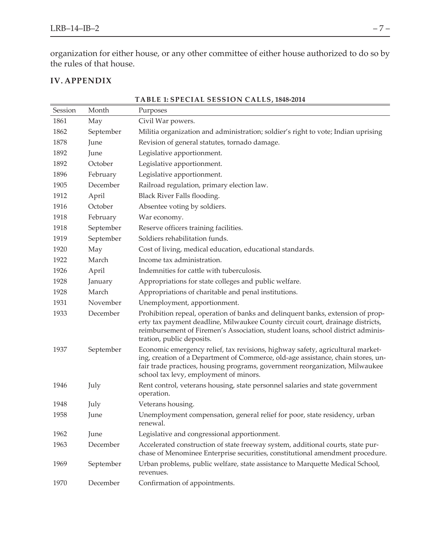organization for either house, or any other committee of either house authorized to do so by the rules of that house.

## **IV. APPENDIX**

| Session | Month     | Purposes                                                                                                                                                                                                                                                                                     |
|---------|-----------|----------------------------------------------------------------------------------------------------------------------------------------------------------------------------------------------------------------------------------------------------------------------------------------------|
| 1861    | May       | Civil War powers.                                                                                                                                                                                                                                                                            |
| 1862    | September | Militia organization and administration; soldier's right to vote; Indian uprising                                                                                                                                                                                                            |
| 1878    | June      | Revision of general statutes, tornado damage.                                                                                                                                                                                                                                                |
| 1892    | June      | Legislative apportionment.                                                                                                                                                                                                                                                                   |
| 1892    | October   | Legislative apportionment.                                                                                                                                                                                                                                                                   |
| 1896    | February  | Legislative apportionment.                                                                                                                                                                                                                                                                   |
| 1905    | December  | Railroad regulation, primary election law.                                                                                                                                                                                                                                                   |
| 1912    | April     | Black River Falls flooding.                                                                                                                                                                                                                                                                  |
| 1916    | October   | Absentee voting by soldiers.                                                                                                                                                                                                                                                                 |
| 1918    | February  | War economy.                                                                                                                                                                                                                                                                                 |
| 1918    | September | Reserve officers training facilities.                                                                                                                                                                                                                                                        |
| 1919    | September | Soldiers rehabilitation funds.                                                                                                                                                                                                                                                               |
| 1920    | May       | Cost of living, medical education, educational standards.                                                                                                                                                                                                                                    |
| 1922    | March     | Income tax administration.                                                                                                                                                                                                                                                                   |
| 1926    | April     | Indemnities for cattle with tuberculosis.                                                                                                                                                                                                                                                    |
| 1928    | January   | Appropriations for state colleges and public welfare.                                                                                                                                                                                                                                        |
| 1928    | March     | Appropriations of charitable and penal institutions.                                                                                                                                                                                                                                         |
| 1931    | November  | Unemployment, apportionment.                                                                                                                                                                                                                                                                 |
| 1933    | December  | Prohibition repeal, operation of banks and delinquent banks, extension of prop-<br>erty tax payment deadline, Milwaukee County circuit court, drainage districts,<br>reimbursement of Firemen's Association, student loans, school district adminis-<br>tration, public deposits.            |
| 1937    | September | Economic emergency relief, tax revisions, highway safety, agricultural market-<br>ing, creation of a Department of Commerce, old-age assistance, chain stores, un-<br>fair trade practices, housing programs, government reorganization, Milwaukee<br>school tax levy, employment of minors. |
| 1946    | July      | Rent control, veterans housing, state personnel salaries and state government<br>operation.                                                                                                                                                                                                  |
| 1948    | July      | Veterans housing.                                                                                                                                                                                                                                                                            |
| 1958    | June      | Unemployment compensation, general relief for poor, state residency, urban<br>renewal.                                                                                                                                                                                                       |
| 1962    | June      | Legislative and congressional apportionment.                                                                                                                                                                                                                                                 |
| 1963    | December  | Accelerated construction of state freeway system, additional courts, state pur-<br>chase of Menominee Enterprise securities, constitutional amendment procedure.                                                                                                                             |
| 1969    | September | Urban problems, public welfare, state assistance to Marquette Medical School,<br>revenues.                                                                                                                                                                                                   |
| 1970    | December  | Confirmation of appointments.                                                                                                                                                                                                                                                                |

#### **TABLE 1: SPECIAL SESSION CALLS, 1848-2014**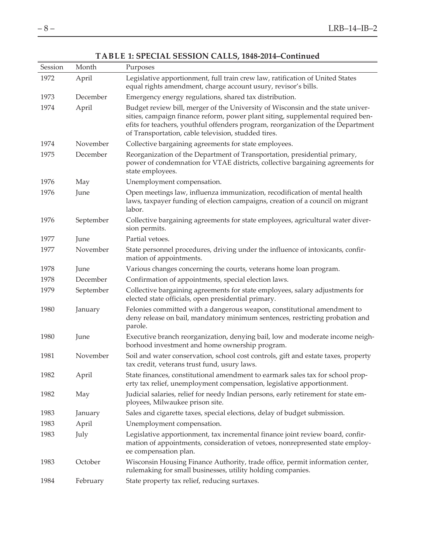| Session | Month     | Purposes                                                                                                                                                                                                                                                                                                      |
|---------|-----------|---------------------------------------------------------------------------------------------------------------------------------------------------------------------------------------------------------------------------------------------------------------------------------------------------------------|
| 1972    | April     | Legislative apportionment, full train crew law, ratification of United States<br>equal rights amendment, charge account usury, revisor's bills.                                                                                                                                                               |
| 1973    | December  | Emergency energy regulations, shared tax distribution.                                                                                                                                                                                                                                                        |
| 1974    | April     | Budget review bill, merger of the University of Wisconsin and the state univer-<br>sities, campaign finance reform, power plant siting, supplemental required ben-<br>efits for teachers, youthful offenders program, reorganization of the Department<br>of Transportation, cable television, studded tires. |
| 1974    | November  | Collective bargaining agreements for state employees.                                                                                                                                                                                                                                                         |
| 1975    | December  | Reorganization of the Department of Transportation, presidential primary,<br>power of condemnation for VTAE districts, collective bargaining agreements for<br>state employees.                                                                                                                               |
| 1976    | May       | Unemployment compensation.                                                                                                                                                                                                                                                                                    |
| 1976    | June      | Open meetings law, influenza immunization, recodification of mental health<br>laws, taxpayer funding of election campaigns, creation of a council on migrant<br>labor.                                                                                                                                        |
| 1976    | September | Collective bargaining agreements for state employees, agricultural water diver-<br>sion permits.                                                                                                                                                                                                              |
| 1977    | June      | Partial vetoes.                                                                                                                                                                                                                                                                                               |
| 1977    | November  | State personnel procedures, driving under the influence of intoxicants, confir-<br>mation of appointments.                                                                                                                                                                                                    |
| 1978    | June      | Various changes concerning the courts, veterans home loan program.                                                                                                                                                                                                                                            |
| 1978    | December  | Confirmation of appointments, special election laws.                                                                                                                                                                                                                                                          |
| 1979    | September | Collective bargaining agreements for state employees, salary adjustments for<br>elected state officials, open presidential primary.                                                                                                                                                                           |
| 1980    | January   | Felonies committed with a dangerous weapon, constitutional amendment to<br>deny release on bail, mandatory minimum sentences, restricting probation and<br>parole.                                                                                                                                            |
| 1980    | June      | Executive branch reorganization, denying bail, low and moderate income neigh-<br>borhood investment and home ownership program.                                                                                                                                                                               |
| 1981    | November  | Soil and water conservation, school cost controls, gift and estate taxes, property<br>tax credit, veterans trust fund, usury laws.                                                                                                                                                                            |
| 1982    | April     | State finances, constitutional amendment to earmark sales tax for school prop-<br>erty tax relief, unemployment compensation, legislative apportionment.                                                                                                                                                      |
| 1982    | May       | Judicial salaries, relief for needy Indian persons, early retirement for state em-<br>ployees, Milwaukee prison site.                                                                                                                                                                                         |
| 1983    | January   | Sales and cigarette taxes, special elections, delay of budget submission.                                                                                                                                                                                                                                     |
| 1983    | April     | Unemployment compensation.                                                                                                                                                                                                                                                                                    |
| 1983    | July      | Legislative apportionment, tax incremental finance joint review board, confir-<br>mation of appointments, consideration of vetoes, nonrepresented state employ-<br>ee compensation plan.                                                                                                                      |
| 1983    | October   | Wisconsin Housing Finance Authority, trade office, permit information center,<br>rulemaking for small businesses, utility holding companies.                                                                                                                                                                  |
| 1984    | February  | State property tax relief, reducing surtaxes.                                                                                                                                                                                                                                                                 |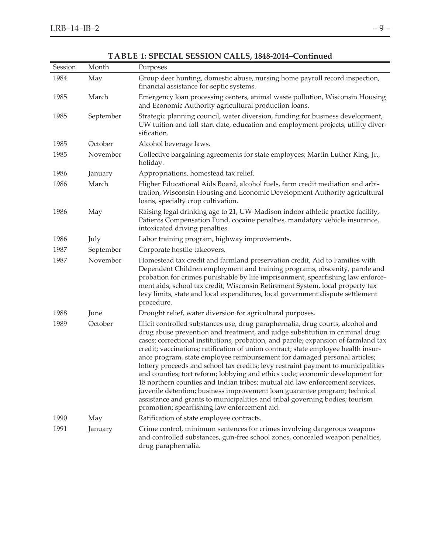| Session | Month     | Purposes                                                                                                                                                                                                                                                                                                                                                                                                                                                                                                                                                                                                                                                                                                                                                                                                                                                                                     |
|---------|-----------|----------------------------------------------------------------------------------------------------------------------------------------------------------------------------------------------------------------------------------------------------------------------------------------------------------------------------------------------------------------------------------------------------------------------------------------------------------------------------------------------------------------------------------------------------------------------------------------------------------------------------------------------------------------------------------------------------------------------------------------------------------------------------------------------------------------------------------------------------------------------------------------------|
| 1984    | May       | Group deer hunting, domestic abuse, nursing home payroll record inspection,<br>financial assistance for septic systems.                                                                                                                                                                                                                                                                                                                                                                                                                                                                                                                                                                                                                                                                                                                                                                      |
| 1985    | March     | Emergency loan processing centers, animal waste pollution, Wisconsin Housing<br>and Economic Authority agricultural production loans.                                                                                                                                                                                                                                                                                                                                                                                                                                                                                                                                                                                                                                                                                                                                                        |
| 1985    | September | Strategic planning council, water diversion, funding for business development,<br>UW tuition and fall start date, education and employment projects, utility diver-<br>sification.                                                                                                                                                                                                                                                                                                                                                                                                                                                                                                                                                                                                                                                                                                           |
| 1985    | October   | Alcohol beverage laws.                                                                                                                                                                                                                                                                                                                                                                                                                                                                                                                                                                                                                                                                                                                                                                                                                                                                       |
| 1985    | November  | Collective bargaining agreements for state employees; Martin Luther King, Jr.,<br>holiday.                                                                                                                                                                                                                                                                                                                                                                                                                                                                                                                                                                                                                                                                                                                                                                                                   |
| 1986    | January   | Appropriations, homestead tax relief.                                                                                                                                                                                                                                                                                                                                                                                                                                                                                                                                                                                                                                                                                                                                                                                                                                                        |
| 1986    | March     | Higher Educational Aids Board, alcohol fuels, farm credit mediation and arbi-<br>tration, Wisconsin Housing and Economic Development Authority agricultural<br>loans, specialty crop cultivation.                                                                                                                                                                                                                                                                                                                                                                                                                                                                                                                                                                                                                                                                                            |
| 1986    | May       | Raising legal drinking age to 21, UW-Madison indoor athletic practice facility,<br>Patients Compensation Fund, cocaine penalties, mandatory vehicle insurance,<br>intoxicated driving penalties.                                                                                                                                                                                                                                                                                                                                                                                                                                                                                                                                                                                                                                                                                             |
| 1986    | July      | Labor training program, highway improvements.                                                                                                                                                                                                                                                                                                                                                                                                                                                                                                                                                                                                                                                                                                                                                                                                                                                |
| 1987    | September | Corporate hostile takeovers.                                                                                                                                                                                                                                                                                                                                                                                                                                                                                                                                                                                                                                                                                                                                                                                                                                                                 |
| 1987    | November  | Homestead tax credit and farmland preservation credit, Aid to Families with<br>Dependent Children employment and training programs, obscenity, parole and<br>probation for crimes punishable by life imprisonment, spearfishing law enforce-<br>ment aids, school tax credit, Wisconsin Retirement System, local property tax<br>levy limits, state and local expenditures, local government dispute settlement<br>procedure.                                                                                                                                                                                                                                                                                                                                                                                                                                                                |
| 1988    | June      | Drought relief, water diversion for agricultural purposes.                                                                                                                                                                                                                                                                                                                                                                                                                                                                                                                                                                                                                                                                                                                                                                                                                                   |
| 1989    | October   | Illicit controlled substances use, drug paraphernalia, drug courts, alcohol and<br>drug abuse prevention and treatment, and judge substitution in criminal drug<br>cases; correctional institutions, probation, and parole; expansion of farmland tax<br>credit; vaccinations; ratification of union contract; state employee health insur-<br>ance program, state employee reimbursement for damaged personal articles;<br>lottery proceeds and school tax credits; levy restraint payment to municipalities<br>and counties; tort reform; lobbying and ethics code; economic development for<br>18 northern counties and Indian tribes; mutual aid law enforcement services,<br>juvenile detention; business improvement loan guarantee program; technical<br>assistance and grants to municipalities and tribal governing bodies; tourism<br>promotion; spearfishing law enforcement aid. |
| 1990    | May       | Ratification of state employee contracts.                                                                                                                                                                                                                                                                                                                                                                                                                                                                                                                                                                                                                                                                                                                                                                                                                                                    |
| 1991    | January   | Crime control, minimum sentences for crimes involving dangerous weapons<br>and controlled substances, gun-free school zones, concealed weapon penalties,<br>drug paraphernalia.                                                                                                                                                                                                                                                                                                                                                                                                                                                                                                                                                                                                                                                                                                              |

## **TABLE 1: SPECIAL SESSION CALLS, 1848-2014–Continued**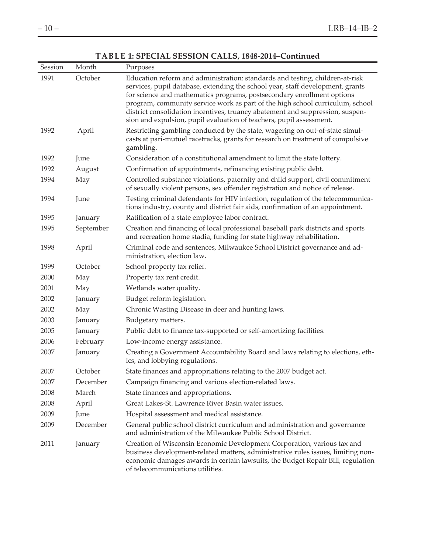$\overline{a}$ 

## **TABLE 1: SPECIAL SESSION CALLS, 1848-2014–Continued**

| Session | Month     | Purposes                                                                                                                                                                                                                                                                                                                                                                                                                                                                          |
|---------|-----------|-----------------------------------------------------------------------------------------------------------------------------------------------------------------------------------------------------------------------------------------------------------------------------------------------------------------------------------------------------------------------------------------------------------------------------------------------------------------------------------|
| 1991    | October   | Education reform and administration: standards and testing, children-at-risk<br>services, pupil database, extending the school year, staff development, grants<br>for science and mathematics programs, postsecondary enrollment options<br>program, community service work as part of the high school curriculum, school<br>district consolidation incentives, truancy abatement and suppression, suspen-<br>sion and expulsion, pupil evaluation of teachers, pupil assessment. |
| 1992    | April     | Restricting gambling conducted by the state, wagering on out-of-state simul-<br>casts at pari-mutuel racetracks, grants for research on treatment of compulsive<br>gambling.                                                                                                                                                                                                                                                                                                      |
| 1992    | June      | Consideration of a constitutional amendment to limit the state lottery.                                                                                                                                                                                                                                                                                                                                                                                                           |
| 1992    | August    | Confirmation of appointments, refinancing existing public debt.                                                                                                                                                                                                                                                                                                                                                                                                                   |
| 1994    | May       | Controlled substance violations, paternity and child support, civil commitment<br>of sexually violent persons, sex offender registration and notice of release.                                                                                                                                                                                                                                                                                                                   |
| 1994    | June      | Testing criminal defendants for HIV infection, regulation of the telecommunica-<br>tions industry, county and district fair aids, confirmation of an appointment.                                                                                                                                                                                                                                                                                                                 |
| 1995    | January   | Ratification of a state employee labor contract.                                                                                                                                                                                                                                                                                                                                                                                                                                  |
| 1995    | September | Creation and financing of local professional baseball park districts and sports<br>and recreation home stadia, funding for state highway rehabilitation.                                                                                                                                                                                                                                                                                                                          |
| 1998    | April     | Criminal code and sentences, Milwaukee School District governance and ad-<br>ministration, election law.                                                                                                                                                                                                                                                                                                                                                                          |
| 1999    | October   | School property tax relief.                                                                                                                                                                                                                                                                                                                                                                                                                                                       |
| 2000    | May       | Property tax rent credit.                                                                                                                                                                                                                                                                                                                                                                                                                                                         |
| 2001    | May       | Wetlands water quality.                                                                                                                                                                                                                                                                                                                                                                                                                                                           |
| 2002    | January   | Budget reform legislation.                                                                                                                                                                                                                                                                                                                                                                                                                                                        |
| 2002    | May       | Chronic Wasting Disease in deer and hunting laws.                                                                                                                                                                                                                                                                                                                                                                                                                                 |
| 2003    | January   | Budgetary matters.                                                                                                                                                                                                                                                                                                                                                                                                                                                                |
| 2005    | January   | Public debt to finance tax-supported or self-amortizing facilities.                                                                                                                                                                                                                                                                                                                                                                                                               |
| 2006    | February  | Low-income energy assistance.                                                                                                                                                                                                                                                                                                                                                                                                                                                     |
| 2007    | January   | Creating a Government Accountability Board and laws relating to elections, eth-<br>ics, and lobbying regulations.                                                                                                                                                                                                                                                                                                                                                                 |
| 2007    | October   | State finances and appropriations relating to the 2007 budget act.                                                                                                                                                                                                                                                                                                                                                                                                                |
| 2007    | December  | Campaign financing and various election-related laws.                                                                                                                                                                                                                                                                                                                                                                                                                             |
| 2008    | March     | State finances and appropriations.                                                                                                                                                                                                                                                                                                                                                                                                                                                |
| 2008    | April     | Great Lakes-St. Lawrence River Basin water issues.                                                                                                                                                                                                                                                                                                                                                                                                                                |
| 2009    | June      | Hospital assessment and medical assistance.                                                                                                                                                                                                                                                                                                                                                                                                                                       |
| 2009    | December  | General public school district curriculum and administration and governance<br>and administration of the Milwaukee Public School District.                                                                                                                                                                                                                                                                                                                                        |
| 2011    | January   | Creation of Wisconsin Economic Development Corporation, various tax and<br>business development-related matters, administrative rules issues, limiting non-<br>economic damages awards in certain lawsuits, the Budget Repair Bill, regulation<br>of telecommunications utilities.                                                                                                                                                                                                |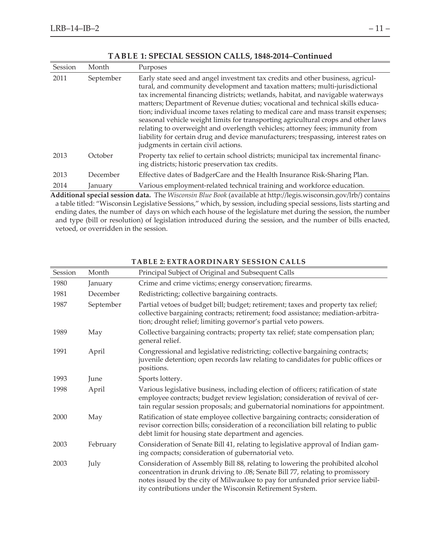| Session | Month     | Purposes                                                                                                                                                                                                                                                                                                                                                                                                                                                                                                                                                                                                                                                                                                                  |
|---------|-----------|---------------------------------------------------------------------------------------------------------------------------------------------------------------------------------------------------------------------------------------------------------------------------------------------------------------------------------------------------------------------------------------------------------------------------------------------------------------------------------------------------------------------------------------------------------------------------------------------------------------------------------------------------------------------------------------------------------------------------|
| 2011    | September | Early state seed and angel investment tax credits and other business, agricul-<br>tural, and community development and taxation matters; multi-jurisdictional<br>tax incremental financing districts; wetlands, habitat, and navigable waterways<br>matters; Department of Revenue duties; vocational and technical skills educa-<br>tion; individual income taxes relating to medical care and mass transit expenses;<br>seasonal vehicle weight limits for transporting agricultural crops and other laws<br>relating to overweight and overlength vehicles; attorney fees; immunity from<br>liability for certain drug and device manufacturers; trespassing, interest rates on<br>judgments in certain civil actions. |
| 2013    | October   | Property tax relief to certain school districts; municipal tax incremental financ-<br>ing districts; historic preservation tax credits.                                                                                                                                                                                                                                                                                                                                                                                                                                                                                                                                                                                   |
| 2013    | December  | Effective dates of BadgerCare and the Health Insurance Risk-Sharing Plan.                                                                                                                                                                                                                                                                                                                                                                                                                                                                                                                                                                                                                                                 |
| 2014    | January   | Various employment-related technical training and workforce education.                                                                                                                                                                                                                                                                                                                                                                                                                                                                                                                                                                                                                                                    |
|         |           | A different consistent and The Wisconsis Plus Peak (expitable at http://legie.zuje.conoin.com/lub/) contained                                                                                                                                                                                                                                                                                                                                                                                                                                                                                                                                                                                                             |

#### **TABLE 1: SPECIAL SESSION CALLS, 1848-2014–Continued**

**Additional special session data.** The *Wisconsin Blue Book* (available at http://legis.wisconsin.gov/lrb/) contains a table titled: "Wisconsin Legislative Sessions," which, by session, including special sessions, lists starting and ending dates, the number of days on which each house of the legislature met during the session, the number and type (bill or resolution) of legislation introduced during the session, and the number of bills enacted, vetoed, or overridden in the session.

| Session | Month     | Principal Subject of Original and Subsequent Calls                                                                                                                                                                                                                                                             |
|---------|-----------|----------------------------------------------------------------------------------------------------------------------------------------------------------------------------------------------------------------------------------------------------------------------------------------------------------------|
| 1980    | January   | Crime and crime victims; energy conservation; firearms.                                                                                                                                                                                                                                                        |
| 1981    | December  | Redistricting; collective bargaining contracts.                                                                                                                                                                                                                                                                |
| 1987    | September | Partial vetoes of budget bill; budget; retirement; taxes and property tax relief;<br>collective bargaining contracts; retirement; food assistance; mediation-arbitra-<br>tion; drought relief; limiting governor's partial veto powers.                                                                        |
| 1989    | May       | Collective bargaining contracts; property tax relief; state compensation plan;<br>general relief.                                                                                                                                                                                                              |
| 1991    | April     | Congressional and legislative redistricting; collective bargaining contracts;<br>juvenile detention; open records law relating to candidates for public offices or<br>positions.                                                                                                                               |
| 1993    | June      | Sports lottery.                                                                                                                                                                                                                                                                                                |
| 1998    | April     | Various legislative business, including election of officers; ratification of state<br>employee contracts; budget review legislation; consideration of revival of cer-<br>tain regular session proposals; and gubernatorial nominations for appointment.                                                       |
| 2000    | May       | Ratification of state employee collective bargaining contracts; consideration of<br>revisor correction bills; consideration of a reconciliation bill relating to public<br>debt limit for housing state department and agencies.                                                                               |
| 2003    | February  | Consideration of Senate Bill 41, relating to legislative approval of Indian gam-<br>ing compacts; consideration of gubernatorial veto.                                                                                                                                                                         |
| 2003    | July      | Consideration of Assembly Bill 88, relating to lowering the prohibited alcohol<br>concentration in drunk driving to .08; Senate Bill 77, relating to promissory<br>notes issued by the city of Milwaukee to pay for unfunded prior service liabil-<br>ity contributions under the Wisconsin Retirement System. |

#### **TABLE 2: EXTRAORDINARY SESSION CALLS**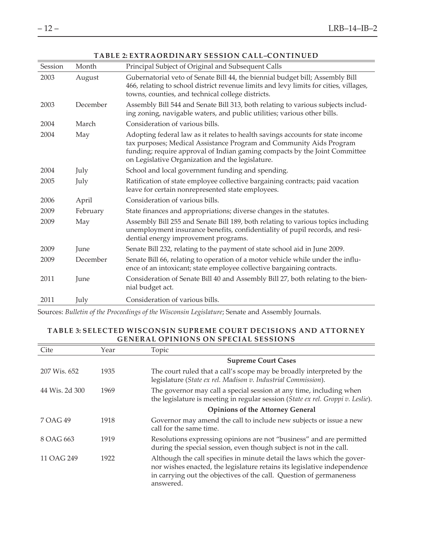| Session | Month    | Principal Subject of Original and Subsequent Calls                                                                                                                                                                                                                                      |
|---------|----------|-----------------------------------------------------------------------------------------------------------------------------------------------------------------------------------------------------------------------------------------------------------------------------------------|
| 2003    | August   | Gubernatorial veto of Senate Bill 44, the biennial budget bill; Assembly Bill<br>466, relating to school district revenue limits and levy limits for cities, villages,<br>towns, counties, and technical college districts.                                                             |
| 2003    | December | Assembly Bill 544 and Senate Bill 313, both relating to various subjects includ-<br>ing zoning, navigable waters, and public utilities; various other bills.                                                                                                                            |
| 2004    | March    | Consideration of various bills.                                                                                                                                                                                                                                                         |
| 2004    | May      | Adopting federal law as it relates to health savings accounts for state income<br>tax purposes; Medical Assistance Program and Community Aids Program<br>funding; require approval of Indian gaming compacts by the Joint Committee<br>on Legislative Organization and the legislature. |
| 2004    | July     | School and local government funding and spending.                                                                                                                                                                                                                                       |
| 2005    | July     | Ratification of state employee collective bargaining contracts; paid vacation<br>leave for certain nonrepresented state employees.                                                                                                                                                      |
| 2006    | April    | Consideration of various bills.                                                                                                                                                                                                                                                         |
| 2009    | February | State finances and appropriations; diverse changes in the statutes.                                                                                                                                                                                                                     |
| 2009    | May      | Assembly Bill 255 and Senate Bill 189, both relating to various topics including<br>unemployment insurance benefits, confidentiality of pupil records, and resi-<br>dential energy improvement programs.                                                                                |
| 2009    | June     | Senate Bill 232, relating to the payment of state school aid in June 2009.                                                                                                                                                                                                              |
| 2009    | December | Senate Bill 66, relating to operation of a motor vehicle while under the influ-<br>ence of an intoxicant; state employee collective bargaining contracts.                                                                                                                               |
| 2011    | June     | Consideration of Senate Bill 40 and Assembly Bill 27, both relating to the bien-<br>nial budget act.                                                                                                                                                                                    |
| 2011    | July     | Consideration of various bills.                                                                                                                                                                                                                                                         |

#### **TABLE 2: EXTRAORDINARY SESSION CALL–CONTINUED**

Sources: *Bulletin of the Proceedings of the Wisconsin Legislature*; Senate and Assembly Journals.

#### **TABLE 3: SELECTED WISCONSIN SUPREME COURT DECISIONS AND ATTORNEY GENERAL OPINIONS ON SPECIAL SESSIONS**

| Cite           | Year | Topic                                                                                                                                                                                                                                  |
|----------------|------|----------------------------------------------------------------------------------------------------------------------------------------------------------------------------------------------------------------------------------------|
|                |      | <b>Supreme Court Cases</b>                                                                                                                                                                                                             |
| 207 Wis. 652   | 1935 | The court ruled that a call's scope may be broadly interpreted by the<br>legislature (State ex rel. Madison v. Industrial Commission).                                                                                                 |
| 44 Wis. 2d 300 | 1969 | The governor may call a special session at any time, including when<br>the legislature is meeting in regular session (State ex rel. Groppi v. Leslie).                                                                                 |
|                |      | <b>Opinions of the Attorney General</b>                                                                                                                                                                                                |
| 7 OAG 49       | 1918 | Governor may amend the call to include new subjects or issue a new<br>call for the same time.                                                                                                                                          |
| 8 OAG 663      | 1919 | Resolutions expressing opinions are not "business" and are permitted<br>during the special session, even though subject is not in the call.                                                                                            |
| 11 OAG 249     | 1922 | Although the call specifies in minute detail the laws which the gover-<br>nor wishes enacted, the legislature retains its legislative independence<br>in carrying out the objectives of the call. Question of germaneness<br>answered. |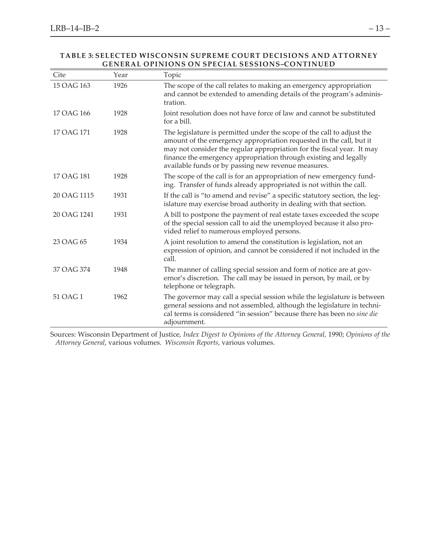#### **TABLE 3: SELECTED WISCONSIN SUPREME COURT DECISIONS AND ATTORNEY GENERAL OPINIONS ON SPECIAL SESSIONS–CONTINUED**

| Cite        | Year | Topic                                                                                                                                                                                                                                                                                                                                              |
|-------------|------|----------------------------------------------------------------------------------------------------------------------------------------------------------------------------------------------------------------------------------------------------------------------------------------------------------------------------------------------------|
| 15 OAG 163  | 1926 | The scope of the call relates to making an emergency appropriation<br>and cannot be extended to amending details of the program's adminis-<br>tration.                                                                                                                                                                                             |
| 17 OAG 166  | 1928 | Joint resolution does not have force of law and cannot be substituted<br>for a bill.                                                                                                                                                                                                                                                               |
| 17 OAG 171  | 1928 | The legislature is permitted under the scope of the call to adjust the<br>amount of the emergency appropriation requested in the call, but it<br>may not consider the regular appropriation for the fiscal year. It may<br>finance the emergency appropriation through existing and legally<br>available funds or by passing new revenue measures. |
| 17 OAG 181  | 1928 | The scope of the call is for an appropriation of new emergency fund-<br>ing. Transfer of funds already appropriated is not within the call.                                                                                                                                                                                                        |
| 20 OAG 1115 | 1931 | If the call is "to amend and revise" a specific statutory section, the leg-<br>islature may exercise broad authority in dealing with that section.                                                                                                                                                                                                 |
| 20 OAG 1241 | 1931 | A bill to postpone the payment of real estate taxes exceeded the scope<br>of the special session call to aid the unemployed because it also pro-<br>vided relief to numerous employed persons.                                                                                                                                                     |
| 23 OAG 65   | 1934 | A joint resolution to amend the constitution is legislation, not an<br>expression of opinion, and cannot be considered if not included in the<br>call.                                                                                                                                                                                             |
| 37 OAG 374  | 1948 | The manner of calling special session and form of notice are at gov-<br>ernor's discretion. The call may be issued in person, by mail, or by<br>telephone or telegraph.                                                                                                                                                                            |
| 51 OAG 1    | 1962 | The governor may call a special session while the legislature is between<br>general sessions and not assembled, although the legislature in techni-<br>cal terms is considered "in session" because there has been no sine die<br>adjournment.                                                                                                     |

Sources: Wisconsin Department of Justice, *Index Digest to Opinions of the Attorney General*, 1990; *Opinions of the Attorney General*, various volumes. *Wisconsin Reports*, various volumes.